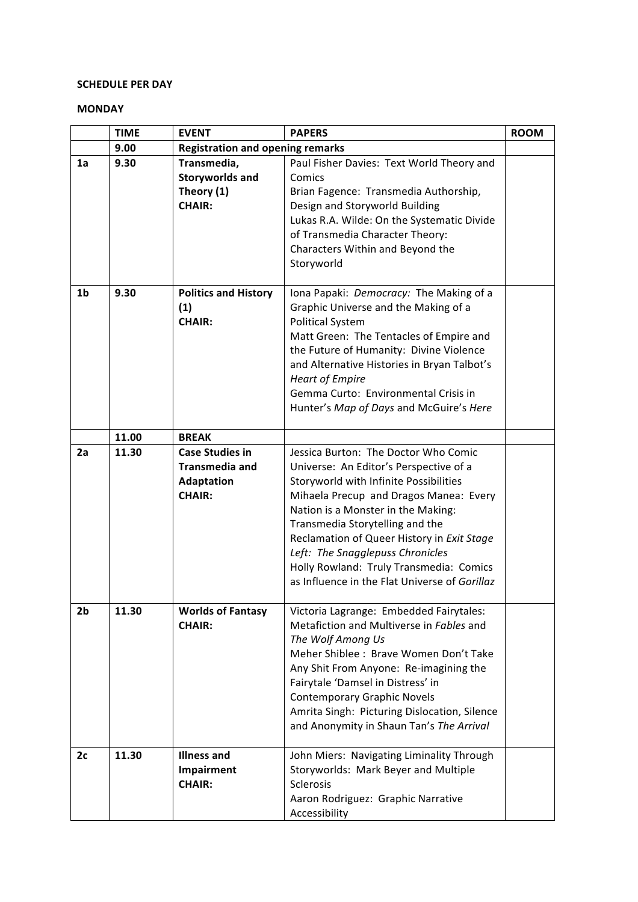#### **SCHEDULE PER DAY**

#### **MONDAY**

|                | <b>TIME</b> | <b>EVENT</b>                            | <b>PAPERS</b>                                 | <b>ROOM</b> |
|----------------|-------------|-----------------------------------------|-----------------------------------------------|-------------|
|                | 9.00        | <b>Registration and opening remarks</b> |                                               |             |
| 1a             | 9.30        | Transmedia,                             | Paul Fisher Davies: Text World Theory and     |             |
|                |             | <b>Storyworlds and</b>                  | Comics                                        |             |
|                |             | Theory (1)                              | Brian Fagence: Transmedia Authorship,         |             |
|                |             | <b>CHAIR:</b>                           | Design and Storyworld Building                |             |
|                |             |                                         | Lukas R.A. Wilde: On the Systematic Divide    |             |
|                |             |                                         | of Transmedia Character Theory:               |             |
|                |             |                                         | Characters Within and Beyond the              |             |
|                |             |                                         | Storyworld                                    |             |
| 1 <sub>b</sub> | 9.30        | <b>Politics and History</b>             | Iona Papaki: Democracy: The Making of a       |             |
|                |             | (1)                                     | Graphic Universe and the Making of a          |             |
|                |             | <b>CHAIR:</b>                           | <b>Political System</b>                       |             |
|                |             |                                         | Matt Green: The Tentacles of Empire and       |             |
|                |             |                                         | the Future of Humanity: Divine Violence       |             |
|                |             |                                         | and Alternative Histories in Bryan Talbot's   |             |
|                |             |                                         | <b>Heart of Empire</b>                        |             |
|                |             |                                         | Gemma Curto: Environmental Crisis in          |             |
|                |             |                                         | Hunter's Map of Days and McGuire's Here       |             |
|                |             |                                         |                                               |             |
|                | 11.00       | <b>BREAK</b>                            |                                               |             |
| 2a             | 11.30       | <b>Case Studies in</b>                  | Jessica Burton: The Doctor Who Comic          |             |
|                |             | <b>Transmedia and</b>                   | Universe: An Editor's Perspective of a        |             |
|                |             | <b>Adaptation</b>                       | Storyworld with Infinite Possibilities        |             |
|                |             | <b>CHAIR:</b>                           | Mihaela Precup and Dragos Manea: Every        |             |
|                |             |                                         | Nation is a Monster in the Making:            |             |
|                |             |                                         | Transmedia Storytelling and the               |             |
|                |             |                                         | Reclamation of Queer History in Exit Stage    |             |
|                |             |                                         | Left: The Snagglepuss Chronicles              |             |
|                |             |                                         | Holly Rowland: Truly Transmedia: Comics       |             |
|                |             |                                         | as Influence in the Flat Universe of Gorillaz |             |
| 2 <sub>b</sub> | 11.30       | <b>Worlds of Fantasy</b>                | Victoria Lagrange: Embedded Fairytales:       |             |
|                |             | <b>CHAIR:</b>                           | Metafiction and Multiverse in Fables and      |             |
|                |             |                                         | The Wolf Among Us                             |             |
|                |             |                                         | Meher Shiblee : Brave Women Don't Take        |             |
|                |             |                                         | Any Shit From Anyone: Re-imagining the        |             |
|                |             |                                         | Fairytale 'Damsel in Distress' in             |             |
|                |             |                                         | <b>Contemporary Graphic Novels</b>            |             |
|                |             |                                         | Amrita Singh: Picturing Dislocation, Silence  |             |
|                |             |                                         | and Anonymity in Shaun Tan's The Arrival      |             |
|                |             |                                         |                                               |             |
| 2c             | 11.30       | <b>Illness and</b>                      | John Miers: Navigating Liminality Through     |             |
|                |             | Impairment                              | Storyworlds: Mark Beyer and Multiple          |             |
|                |             | <b>CHAIR:</b>                           | Sclerosis                                     |             |
|                |             |                                         | Aaron Rodriguez: Graphic Narrative            |             |
|                |             |                                         | Accessibility                                 |             |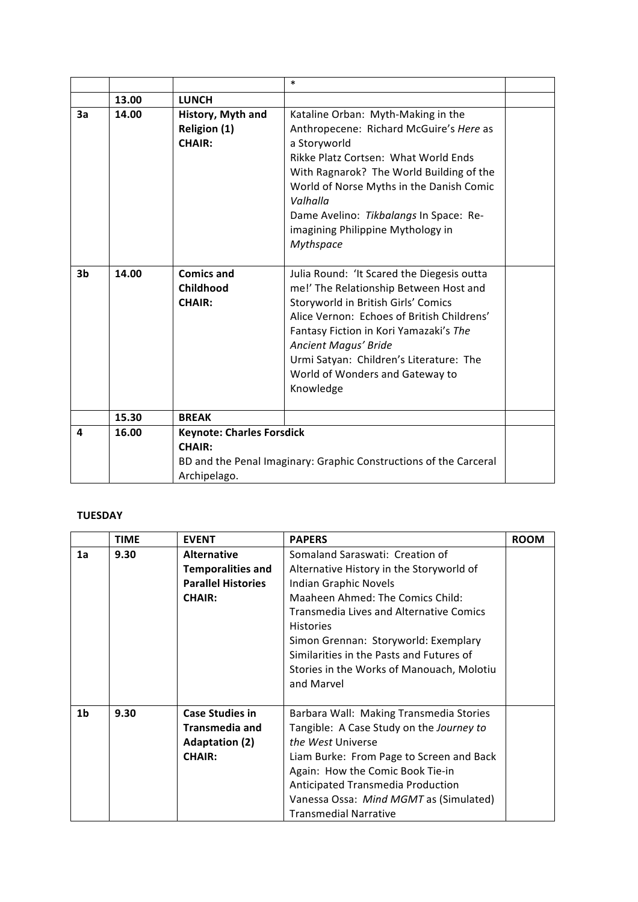|    |       |                                                                   | *                                                                                                                                                                                                                                                                                                                                      |  |
|----|-------|-------------------------------------------------------------------|----------------------------------------------------------------------------------------------------------------------------------------------------------------------------------------------------------------------------------------------------------------------------------------------------------------------------------------|--|
|    | 13.00 | <b>LUNCH</b>                                                      |                                                                                                                                                                                                                                                                                                                                        |  |
| 3a | 14.00 | History, Myth and<br><b>Religion (1)</b><br><b>CHAIR:</b>         | Kataline Orban: Myth-Making in the<br>Anthropecene: Richard McGuire's Here as<br>a Storyworld<br>Rikke Platz Cortsen: What World Ends<br>With Ragnarok? The World Building of the<br>World of Norse Myths in the Danish Comic<br>Valhalla<br>Dame Avelino: Tikbalangs In Space: Re-<br>imagining Philippine Mythology in<br>Mythspace  |  |
| 3b | 14.00 | <b>Comics and</b><br>Childhood<br><b>CHAIR:</b>                   | Julia Round: 'It Scared the Diegesis outta<br>me!' The Relationship Between Host and<br>Storyworld in British Girls' Comics<br>Alice Vernon: Echoes of British Childrens'<br>Fantasy Fiction in Kori Yamazaki's The<br>Ancient Magus' Bride<br>Urmi Satyan: Children's Literature: The<br>World of Wonders and Gateway to<br>Knowledge |  |
|    | 15.30 | <b>BREAK</b>                                                      |                                                                                                                                                                                                                                                                                                                                        |  |
| 4  | 16.00 | <b>Keynote: Charles Forsdick</b><br><b>CHAIR:</b><br>Archipelago. | BD and the Penal Imaginary: Graphic Constructions of the Carceral                                                                                                                                                                                                                                                                      |  |

#### **TUESDAY**

|                | <b>TIME</b> | <b>EVENT</b>              | <b>PAPERS</b>                                  | <b>ROOM</b> |
|----------------|-------------|---------------------------|------------------------------------------------|-------------|
| 1a             | 9.30        | <b>Alternative</b>        | Somaland Saraswati: Creation of                |             |
|                |             | <b>Temporalities and</b>  | Alternative History in the Storyworld of       |             |
|                |             | <b>Parallel Histories</b> | Indian Graphic Novels                          |             |
|                |             | <b>CHAIR:</b>             | Maaheen Ahmed: The Comics Child:               |             |
|                |             |                           | <b>Transmedia Lives and Alternative Comics</b> |             |
|                |             |                           | <b>Histories</b>                               |             |
|                |             |                           | Simon Grennan: Storyworld: Exemplary           |             |
|                |             |                           | Similarities in the Pasts and Futures of       |             |
|                |             |                           | Stories in the Works of Manouach, Molotiu      |             |
|                |             |                           | and Marvel                                     |             |
|                |             |                           |                                                |             |
| 1 <sub>b</sub> | 9.30        | <b>Case Studies in</b>    | Barbara Wall: Making Transmedia Stories        |             |
|                |             | <b>Transmedia and</b>     | Tangible: A Case Study on the Journey to       |             |
|                |             | <b>Adaptation (2)</b>     | the West Universe                              |             |
|                |             | <b>CHAIR:</b>             | Liam Burke: From Page to Screen and Back       |             |
|                |             |                           | Again: How the Comic Book Tie-in               |             |
|                |             |                           | Anticipated Transmedia Production              |             |
|                |             |                           | Vanessa Ossa: Mind MGMT as (Simulated)         |             |
|                |             |                           | <b>Transmedial Narrative</b>                   |             |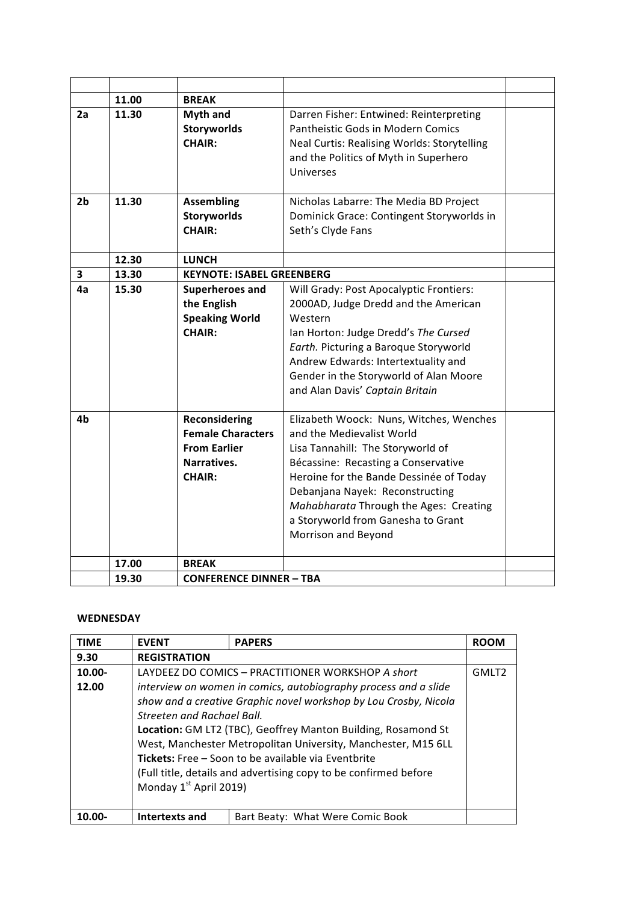|                         | 11.00 | <b>BREAK</b>                     |                                                    |  |
|-------------------------|-------|----------------------------------|----------------------------------------------------|--|
| 2a                      | 11.30 | <b>Myth and</b>                  | Darren Fisher: Entwined: Reinterpreting            |  |
|                         |       | <b>Storyworlds</b>               | Pantheistic Gods in Modern Comics                  |  |
|                         |       | <b>CHAIR:</b>                    | <b>Neal Curtis: Realising Worlds: Storytelling</b> |  |
|                         |       |                                  | and the Politics of Myth in Superhero              |  |
|                         |       |                                  | <b>Universes</b>                                   |  |
|                         |       |                                  |                                                    |  |
| 2b                      | 11.30 | <b>Assembling</b>                | Nicholas Labarre: The Media BD Project             |  |
|                         |       | <b>Storyworlds</b>               | Dominick Grace: Contingent Storyworlds in          |  |
|                         |       | <b>CHAIR:</b>                    | Seth's Clyde Fans                                  |  |
|                         |       |                                  |                                                    |  |
|                         | 12.30 | <b>LUNCH</b>                     |                                                    |  |
| $\overline{\mathbf{3}}$ | 13.30 | <b>KEYNOTE: ISABEL GREENBERG</b> |                                                    |  |
| 4а                      | 15.30 | Superheroes and                  | Will Grady: Post Apocalyptic Frontiers:            |  |
|                         |       | the English                      | 2000AD, Judge Dredd and the American               |  |
|                         |       | <b>Speaking World</b>            | Western                                            |  |
|                         |       | <b>CHAIR:</b>                    | Ian Horton: Judge Dredd's The Cursed               |  |
|                         |       |                                  | Earth. Picturing a Baroque Storyworld              |  |
|                         |       |                                  | Andrew Edwards: Intertextuality and                |  |
|                         |       |                                  | Gender in the Storyworld of Alan Moore             |  |
|                         |       |                                  | and Alan Davis' Captain Britain                    |  |
|                         |       |                                  |                                                    |  |
| 4b                      |       | <b>Reconsidering</b>             | Elizabeth Woock: Nuns, Witches, Wenches            |  |
|                         |       | <b>Female Characters</b>         | and the Medievalist World                          |  |
|                         |       | <b>From Earlier</b>              | Lisa Tannahill: The Storyworld of                  |  |
|                         |       | Narratives.                      | Bécassine: Recasting a Conservative                |  |
|                         |       | <b>CHAIR:</b>                    | Heroine for the Bande Dessinée of Today            |  |
|                         |       |                                  | Debanjana Nayek: Reconstructing                    |  |
|                         |       |                                  | Mahabharata Through the Ages: Creating             |  |
|                         |       |                                  | a Storyworld from Ganesha to Grant                 |  |
|                         |       |                                  | Morrison and Beyond                                |  |
|                         |       |                                  |                                                    |  |
|                         | 17.00 | <b>BREAK</b>                     |                                                    |  |
|                         | 19.30 | <b>CONFERENCE DINNER - TBA</b>   |                                                    |  |

### **WEDNESDAY**

| <b>TIME</b> | <b>EVENT</b>                                                     | <b>PAPERS</b>                                     | <b>ROOM</b>       |  |
|-------------|------------------------------------------------------------------|---------------------------------------------------|-------------------|--|
|             |                                                                  |                                                   |                   |  |
| 9.30        | <b>REGISTRATION</b>                                              |                                                   |                   |  |
| $10.00 -$   |                                                                  | LAYDEEZ DO COMICS – PRACTITIONER WORKSHOP A short | GMLT <sub>2</sub> |  |
| 12.00       | interview on women in comics, autobiography process and a slide  |                                                   |                   |  |
|             | show and a creative Graphic novel workshop by Lou Crosby, Nicola |                                                   |                   |  |
|             | <b>Streeten and Rachael Ball.</b>                                |                                                   |                   |  |
|             | Location: GM LT2 (TBC), Geoffrey Manton Building, Rosamond St    |                                                   |                   |  |
|             | West, Manchester Metropolitan University, Manchester, M15 6LL    |                                                   |                   |  |
|             | Tickets: Free - Soon to be available via Eventbrite              |                                                   |                   |  |
|             | (Full title, details and advertising copy to be confirmed before |                                                   |                   |  |
|             | Monday 1 <sup>st</sup> April 2019)                               |                                                   |                   |  |
|             |                                                                  |                                                   |                   |  |
| 10.00-      | Intertexts and                                                   | Bart Beaty: What Were Comic Book                  |                   |  |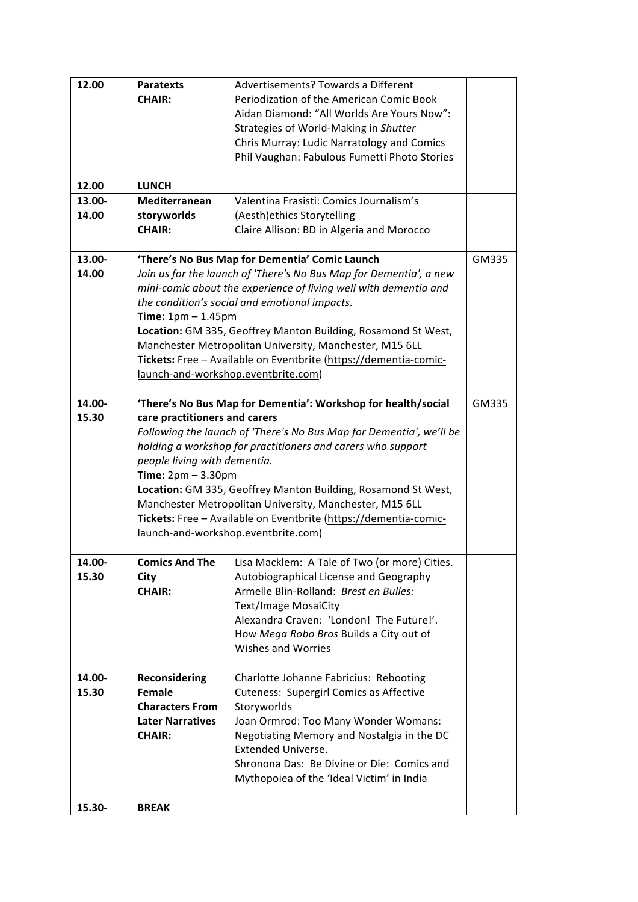| 12.00           | <b>Paratexts</b><br><b>CHAIR:</b>                                                                                                                                                                                                                                                                                                                                                                                                                                                                                                            | Advertisements? Towards a Different<br>Periodization of the American Comic Book<br>Aidan Diamond: "All Worlds Are Yours Now":<br>Strategies of World-Making in Shutter<br>Chris Murray: Ludic Narratology and Comics<br>Phil Vaughan: Fabulous Fumetti Photo Stories                                                  |       |
|-----------------|----------------------------------------------------------------------------------------------------------------------------------------------------------------------------------------------------------------------------------------------------------------------------------------------------------------------------------------------------------------------------------------------------------------------------------------------------------------------------------------------------------------------------------------------|-----------------------------------------------------------------------------------------------------------------------------------------------------------------------------------------------------------------------------------------------------------------------------------------------------------------------|-------|
| 12.00           | <b>LUNCH</b>                                                                                                                                                                                                                                                                                                                                                                                                                                                                                                                                 |                                                                                                                                                                                                                                                                                                                       |       |
| 13.00-<br>14.00 | Mediterranean<br>Valentina Frasisti: Comics Journalism's<br>storyworlds<br>(Aesth) ethics Storytelling<br><b>CHAIR:</b><br>Claire Allison: BD in Algeria and Morocco                                                                                                                                                                                                                                                                                                                                                                         |                                                                                                                                                                                                                                                                                                                       |       |
|                 |                                                                                                                                                                                                                                                                                                                                                                                                                                                                                                                                              |                                                                                                                                                                                                                                                                                                                       | GM335 |
| 13.00-<br>14.00 | 'There's No Bus Map for Dementia' Comic Launch<br>Join us for the launch of 'There's No Bus Map for Dementia', a new<br>mini-comic about the experience of living well with dementia and<br>the condition's social and emotional impacts.<br>Time: $1pm - 1.45pm$<br>Location: GM 335, Geoffrey Manton Building, Rosamond St West,<br>Manchester Metropolitan University, Manchester, M15 6LL<br>Tickets: Free - Available on Eventbrite (https://dementia-comic-<br>launch-and-workshop.eventbrite.com)                                     |                                                                                                                                                                                                                                                                                                                       |       |
| 14.00-<br>15.30 | GM335<br>'There's No Bus Map for Dementia': Workshop for health/social<br>care practitioners and carers<br>Following the launch of 'There's No Bus Map for Dementia', we'll be<br>holding a workshop for practitioners and carers who support<br>people living with dementia.<br>Time: $2pm - 3.30pm$<br>Location: GM 335, Geoffrey Manton Building, Rosamond St West,<br>Manchester Metropolitan University, Manchester, M15 6LL<br>Tickets: Free - Available on Eventbrite (https://dementia-comic-<br>launch-and-workshop.eventbrite.com) |                                                                                                                                                                                                                                                                                                                       |       |
| 14.00-<br>15.30 | <b>Comics And The</b><br><b>City</b><br><b>CHAIR:</b>                                                                                                                                                                                                                                                                                                                                                                                                                                                                                        | Lisa Macklem: A Tale of Two (or more) Cities.<br>Autobiographical License and Geography<br>Armelle Blin-Rolland: Brest en Bulles:<br><b>Text/Image MosaiCity</b><br>Alexandra Craven: 'London! The Future!'.<br>How Mega Robo Bros Builds a City out of<br>Wishes and Worries                                         |       |
| 14.00-<br>15.30 | <b>Reconsidering</b><br><b>Female</b><br><b>Characters From</b><br><b>Later Narratives</b><br><b>CHAIR:</b>                                                                                                                                                                                                                                                                                                                                                                                                                                  | Charlotte Johanne Fabricius: Rebooting<br><b>Cuteness: Supergirl Comics as Affective</b><br>Storyworlds<br>Joan Ormrod: Too Many Wonder Womans:<br>Negotiating Memory and Nostalgia in the DC<br><b>Extended Universe.</b><br>Shronona Das: Be Divine or Die: Comics and<br>Mythopoiea of the 'Ideal Victim' in India |       |
| 15.30-          | <b>BREAK</b>                                                                                                                                                                                                                                                                                                                                                                                                                                                                                                                                 |                                                                                                                                                                                                                                                                                                                       |       |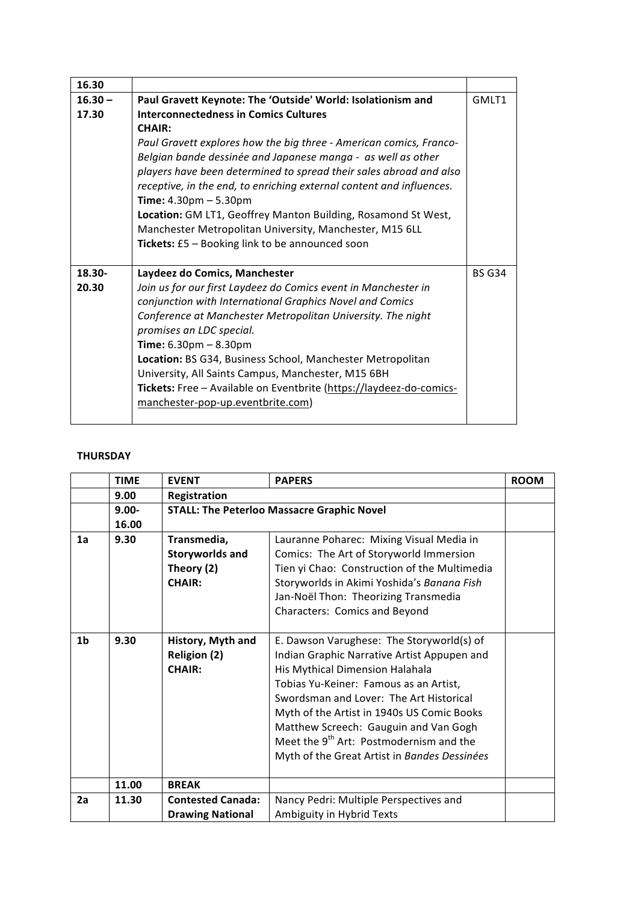| 16.30     |                                                                      |               |
|-----------|----------------------------------------------------------------------|---------------|
| $16.30 -$ | Paul Gravett Keynote: The 'Outside' World: Isolationism and          | GMLT1         |
| 17.30     | Interconnectedness in Comics Cultures                                |               |
|           | <b>CHAIR:</b>                                                        |               |
|           | Paul Gravett explores how the big three - American comics, Franco-   |               |
|           | Belgian bande dessinée and Japanese manga - as well as other         |               |
|           | players have been determined to spread their sales abroad and also   |               |
|           | receptive, in the end, to enriching external content and influences. |               |
|           | <b>Time:</b> $4.30 \text{pm} - 5.30 \text{pm}$                       |               |
|           | Location: GM LT1, Geoffrey Manton Building, Rosamond St West,        |               |
|           | Manchester Metropolitan University, Manchester, M15 6LL              |               |
|           | Tickets: £5 - Booking link to be announced soon                      |               |
|           |                                                                      |               |
|           |                                                                      |               |
| $18.30 -$ | Laydeez do Comics, Manchester                                        | <b>BS G34</b> |
| 20.30     | Join us for our first Laydeez do Comics event in Manchester in       |               |
|           | conjunction with International Graphics Novel and Comics             |               |
|           | Conference at Manchester Metropolitan University. The night          |               |
|           | promises an LDC special.                                             |               |
|           | <b>Time:</b> $6.30 \text{pm} - 8.30 \text{pm}$                       |               |
|           | Location: BS G34, Business School, Manchester Metropolitan           |               |
|           | University, All Saints Campus, Manchester, M15 6BH                   |               |
|           | Tickets: Free - Available on Eventbrite (https://laydeez-do-comics-  |               |
|           | manchester-pop-up.eventbrite.com)                                    |               |

## **THURSDAY**

|    | <b>TIME</b> | <b>EVENT</b>             | <b>PAPERS</b>                                       | <b>ROOM</b> |
|----|-------------|--------------------------|-----------------------------------------------------|-------------|
|    | 9.00        | <b>Registration</b>      |                                                     |             |
|    | $9.00 -$    |                          | <b>STALL: The Peterloo Massacre Graphic Novel</b>   |             |
|    | 16.00       |                          |                                                     |             |
| 1a | 9.30        | Transmedia,              | Lauranne Poharec: Mixing Visual Media in            |             |
|    |             | <b>Storyworlds and</b>   | Comics: The Art of Storyworld Immersion             |             |
|    |             | Theory (2)               | Tien yi Chao: Construction of the Multimedia        |             |
|    |             | <b>CHAIR:</b>            | Storyworlds in Akimi Yoshida's Banana Fish          |             |
|    |             |                          | Jan-Noël Thon: Theorizing Transmedia                |             |
|    |             |                          | Characters: Comics and Beyond                       |             |
|    |             |                          |                                                     |             |
| 1b | 9.30        | History, Myth and        | E. Dawson Varughese: The Storyworld(s) of           |             |
|    |             | <b>Religion (2)</b>      | Indian Graphic Narrative Artist Appupen and         |             |
|    |             | <b>CHAIR:</b>            | His Mythical Dimension Halahala                     |             |
|    |             |                          | Tobias Yu-Keiner: Famous as an Artist,              |             |
|    |             |                          | Swordsman and Lover: The Art Historical             |             |
|    |             |                          | Myth of the Artist in 1940s US Comic Books          |             |
|    |             |                          | Matthew Screech: Gauguin and Van Gogh               |             |
|    |             |                          | Meet the 9 <sup>th</sup> Art: Postmodernism and the |             |
|    |             |                          | Myth of the Great Artist in Bandes Dessinées        |             |
|    |             |                          |                                                     |             |
|    | 11.00       | <b>BREAK</b>             |                                                     |             |
| 2a | 11.30       | <b>Contested Canada:</b> | Nancy Pedri: Multiple Perspectives and              |             |
|    |             | <b>Drawing National</b>  | Ambiguity in Hybrid Texts                           |             |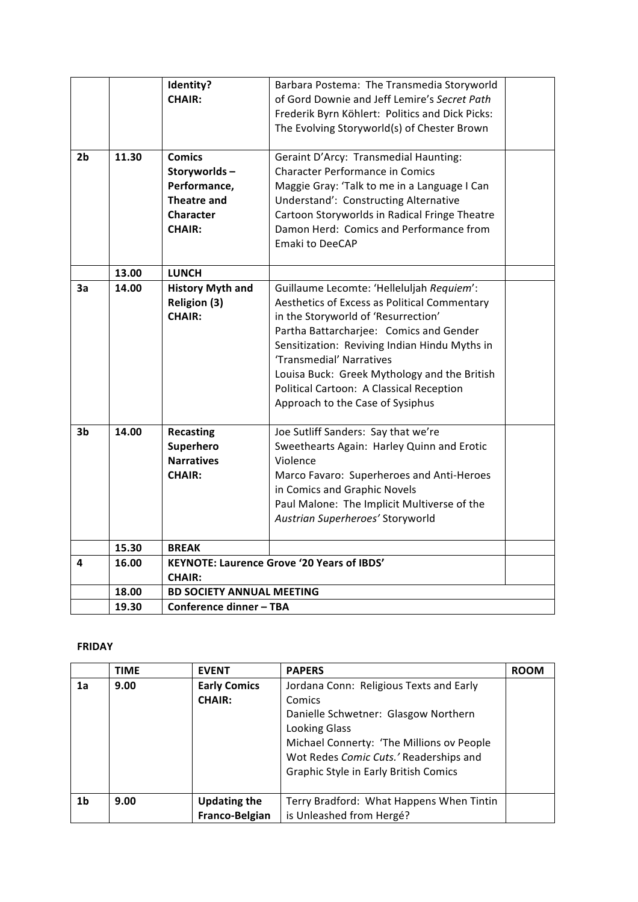|    |       | Identity?                        | Barbara Postema: The Transmedia Storyworld        |  |
|----|-------|----------------------------------|---------------------------------------------------|--|
|    |       | <b>CHAIR:</b>                    | of Gord Downie and Jeff Lemire's Secret Path      |  |
|    |       |                                  | Frederik Byrn Köhlert: Politics and Dick Picks:   |  |
|    |       |                                  | The Evolving Storyworld(s) of Chester Brown       |  |
| 2b | 11.30 | <b>Comics</b>                    | Geraint D'Arcy: Transmedial Haunting:             |  |
|    |       | Storyworlds-                     | <b>Character Performance in Comics</b>            |  |
|    |       | Performance,                     | Maggie Gray: 'Talk to me in a Language I Can      |  |
|    |       | <b>Theatre and</b>               | Understand': Constructing Alternative             |  |
|    |       | <b>Character</b>                 | Cartoon Storyworlds in Radical Fringe Theatre     |  |
|    |       | <b>CHAIR:</b>                    | Damon Herd: Comics and Performance from           |  |
|    |       |                                  | Emaki to DeeCAP                                   |  |
|    | 13.00 | <b>LUNCH</b>                     |                                                   |  |
| 3a | 14.00 | <b>History Myth and</b>          | Guillaume Lecomte: 'Helleluljah Requiem':         |  |
|    |       | <b>Religion (3)</b>              | Aesthetics of Excess as Political Commentary      |  |
|    |       | <b>CHAIR:</b>                    | in the Storyworld of 'Resurrection'               |  |
|    |       |                                  | Partha Battarcharjee: Comics and Gender           |  |
|    |       |                                  | Sensitization: Reviving Indian Hindu Myths in     |  |
|    |       |                                  | 'Transmedial' Narratives                          |  |
|    |       |                                  | Louisa Buck: Greek Mythology and the British      |  |
|    |       |                                  | Political Cartoon: A Classical Reception          |  |
|    |       |                                  | Approach to the Case of Sysiphus                  |  |
| 3b | 14.00 | <b>Recasting</b>                 | Joe Sutliff Sanders: Say that we're               |  |
|    |       | Superhero                        | Sweethearts Again: Harley Quinn and Erotic        |  |
|    |       | <b>Narratives</b>                | Violence                                          |  |
|    |       | <b>CHAIR:</b>                    | Marco Favaro: Superheroes and Anti-Heroes         |  |
|    |       |                                  | in Comics and Graphic Novels                      |  |
|    |       |                                  | Paul Malone: The Implicit Multiverse of the       |  |
|    |       |                                  | Austrian Superheroes' Storyworld                  |  |
|    | 15.30 | <b>BREAK</b>                     |                                                   |  |
|    |       |                                  | <b>KEYNOTE: Laurence Grove '20 Years of IBDS'</b> |  |
| 4  | 16.00 | <b>CHAIR:</b>                    |                                                   |  |
|    | 18.00 | <b>BD SOCIETY ANNUAL MEETING</b> |                                                   |  |
|    | 19.30 | Conference dinner - TBA          |                                                   |  |

# **FRIDAY**

|    | <b>TIME</b> | <b>EVENT</b>        | <b>PAPERS</b>                             | <b>ROOM</b> |
|----|-------------|---------------------|-------------------------------------------|-------------|
| 1a | 9.00        | <b>Early Comics</b> | Jordana Conn: Religious Texts and Early   |             |
|    |             | <b>CHAIR:</b>       | Comics                                    |             |
|    |             |                     | Danielle Schwetner: Glasgow Northern      |             |
|    |             |                     | <b>Looking Glass</b>                      |             |
|    |             |                     | Michael Connerty: 'The Millions ov People |             |
|    |             |                     | Wot Redes Comic Cuts.' Readerships and    |             |
|    |             |                     | Graphic Style in Early British Comics     |             |
|    |             |                     |                                           |             |
| 1b | 9.00        | <b>Updating the</b> | Terry Bradford: What Happens When Tintin  |             |
|    |             | Franco-Belgian      | is Unleashed from Hergé?                  |             |